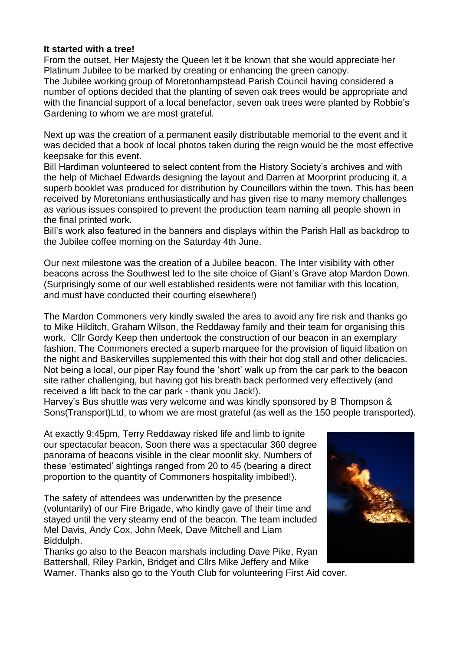## **It started with a tree!**

From the outset, Her Majesty the Queen let it be known that she would appreciate her Platinum Jubilee to be marked by creating or enhancing the green canopy. The Jubilee working group of Moretonhampstead Parish Council having considered a number of options decided that the planting of seven oak trees would be appropriate and with the financial support of a local benefactor, seven oak trees were planted by Robbie's Gardening to whom we are most grateful.

Next up was the creation of a permanent easily distributable memorial to the event and it was decided that a book of local photos taken during the reign would be the most effective keepsake for this event.

Bill Hardiman volunteered to select content from the History Society's archives and with the help of Michael Edwards designing the layout and Darren at Moorprint producing it, a superb booklet was produced for distribution by Councillors within the town. This has been received by Moretonians enthusiastically and has given rise to many memory challenges as various issues conspired to prevent the production team naming all people shown in the final printed work.

Bill's work also featured in the banners and displays within the Parish Hall as backdrop to the Jubilee coffee morning on the Saturday 4th June.

Our next milestone was the creation of a Jubilee beacon. The Inter visibility with other beacons across the Southwest led to the site choice of Giant's Grave atop Mardon Down. (Surprisingly some of our well established residents were not familiar with this location, and must have conducted their courting elsewhere!)

The Mardon Commoners very kindly swaled the area to avoid any fire risk and thanks go to Mike Hilditch, Graham Wilson, the Reddaway family and their team for organising this work. Cllr Gordy Keep then undertook the construction of our beacon in an exemplary fashion, The Commoners erected a superb marquee for the provision of liquid libation on the night and Baskervilles supplemented this with their hot dog stall and other delicacies. Not being a local, our piper Ray found the 'short' walk up from the car park to the beacon site rather challenging, but having got his breath back performed very effectively (and received a lift back to the car park - thank you Jack!).

Harvey's Bus shuttle was very welcome and was kindly sponsored by B Thompson & Sons(Transport)Ltd, to whom we are most grateful (as well as the 150 people transported).

At exactly 9:45pm, Terry Reddaway risked life and limb to ignite our spectacular beacon. Soon there was a spectacular 360 degree panorama of beacons visible in the clear moonlit sky. Numbers of these 'estimated' sightings ranged from 20 to 45 (bearing a direct proportion to the quantity of Commoners hospitality imbibed!).

The safety of attendees was underwritten by the presence (voluntarily) of our Fire Brigade, who kindly gave of their time and stayed until the very steamy end of the beacon. The team included Mel Davis, Andy Cox, John Meek, Dave Mitchell and Liam Biddulph.

Thanks go also to the Beacon marshals including Dave Pike, Ryan Battershall, Riley Parkin, Bridget and Cllrs Mike Jeffery and Mike



Warner. Thanks also go to the Youth Club for volunteering First Aid cover.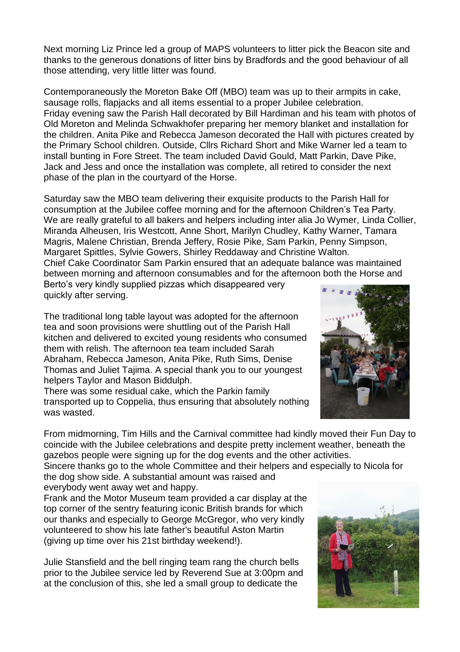Next morning Liz Prince led a group of MAPS volunteers to litter pick the Beacon site and thanks to the generous donations of litter bins by Bradfords and the good behaviour of all those attending, very little litter was found.

Contemporaneously the Moreton Bake Off (MBO) team was up to their armpits in cake, sausage rolls, flapjacks and all items essential to a proper Jubilee celebration. Friday evening saw the Parish Hall decorated by Bill Hardiman and his team with photos of Old Moreton and Melinda Schwakhofer preparing her memory blanket and installation for the children. Anita Pike and Rebecca Jameson decorated the Hall with pictures created by the Primary School children. Outside, Cllrs Richard Short and Mike Warner led a team to install bunting in Fore Street. The team included David Gould, Matt Parkin, Dave Pike, Jack and Jess and once the installation was complete, all retired to consider the next phase of the plan in the courtyard of the Horse.

Saturday saw the MBO team delivering their exquisite products to the Parish Hall for consumption at the Jubilee coffee morning and for the afternoon Children's Tea Party. We are really grateful to all bakers and helpers including inter alia Jo Wymer, Linda Collier, Miranda Alheusen, Iris Westcott, Anne Short, Marilyn Chudley, Kathy Warner, Tamara Magris, Malene Christian, Brenda Jeffery, Rosie Pike, Sam Parkin, Penny Simpson, Margaret Spittles, Sylvie Gowers, Shirley Reddaway and Christine Walton. Chief Cake Coordinator Sam Parkin ensured that an adequate balance was maintained between morning and afternoon consumables and for the afternoon both the Horse and

Berto's very kindly supplied pizzas which disappeared very quickly after serving.

The traditional long table layout was adopted for the afternoon tea and soon provisions were shuttling out of the Parish Hall kitchen and delivered to excited young residents who consumed them with relish. The afternoon tea team included Sarah Abraham, Rebecca Jameson, Anita Pike, Ruth Sims, Denise Thomas and Juliet Tajima. A special thank you to our youngest helpers Taylor and Mason Biddulph.

There was some residual cake, which the Parkin family transported up to Coppelia, thus ensuring that absolutely nothing was wasted.

From midmorning, Tim Hills and the Carnival committee had kindly moved their Fun Day to coincide with the Jubilee celebrations and despite pretty inclement weather, beneath the gazebos people were signing up for the dog events and the other activities.

Sincere thanks go to the whole Committee and their helpers and especially to Nicola for the dog show side. A substantial amount was raised and

everybody went away wet and happy.

Frank and the Motor Museum team provided a car display at the top corner of the sentry featuring iconic British brands for which our thanks and especially to George McGregor, who very kindly volunteered to show his late father's beautiful Aston Martin (giving up time over his 21st birthday weekend!).

Julie Stansfield and the bell ringing team rang the church bells prior to the Jubilee service led by Reverend Sue at 3:00pm and at the conclusion of this, she led a small group to dedicate the